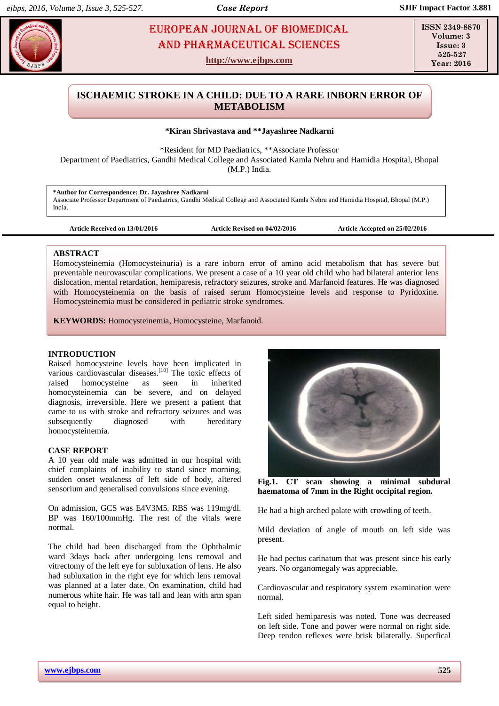# **NADICARNI EUROPEAN JOURNAL OF BIOMEDICAL AND RESIST AND RESIST AND RESIST AND RESIST AND RESIST AND RESIST AND RESIST AND RESIST AND RESIST AND RESIST AND RESIST AND RESIST AND RESIST AND RESIST AND RESIST AND RESIST AND** AND Pharmaceutical sciences

**http://www.ejbps.com**

**ISSN 2349-8870 Volume: 3**  $I<sub>scrP</sub>$  3 **525-527 Year: 2016**

## **ISCHAEMIC STROKE IN A CHILD: DUE TO A RARE INBORN ERROR OF METABOLISM**

#### **\*Kiran Shrivastava and \*\*Jayashree Nadkarni**

\*Resident for MD Paediatrics, \*\*Associate Professor

Department of Paediatrics, Gandhi Medical College and Associated Kamla Nehru and Hamidia Hospital, Bhopal (M.P.) India.

**\*Author for Correspondence: Dr. Jayashree Nadkarni** Associate Professor Department of Paediatrics, Gandhi Medical College and Associated Kamla Nehru and Hamidia Hospital, Bhopal (M.P.) India.

**Article Received on 13/01/2016 Article Revised on 04/02/2016 Article Accepted on 25/02/2016**

#### **ABSTRACT**

Homocysteinemia (Homocysteinuria) is a rare inborn error of amino acid metabolism that has severe but preventable neurovascular complications. We present a case of a 10 year old child who had bilateral anterior lens dislocation, mental retardation, hemiparesis, refractory seizures, stroke and Marfanoid features. He was diagnosed with Homocysteinemia on the basis of raised serum Homocysteine levels and response to Pyridoxine. Homocysteinemia must be considered in pediatric stroke syndromes.

**KEYWORDS:** Homocysteinemia, Homocysteine, Marfanoid.

### **INTRODUCTION**

Raised homocysteine levels have been implicated in various cardiovascular diseases.<sup>[10]</sup> The toxic effects of raised homocysteine as seen in inherited homocysteinemia can be severe, and on delayed diagnosis, irreversible. Here we present a patient that came to us with stroke and refractory seizures and was subsequently diagnosed with hereditary homocysteinemia.

### **CASE REPORT**

A 10 year old male was admitted in our hospital with chief complaints of inability to stand since morning, sudden onset weakness of left side of body, altered sensorium and generalised convulsions since evening.

On admission, GCS was E4V3M5. RBS was 119mg/dl. BP was 160/100mmHg. The rest of the vitals were normal.

The child had been discharged from the Ophthalmic ward 3days back after undergoing lens removal and vitrectomy of the left eye for subluxation of lens. He also had subluxation in the right eye for which lens removal was planned at a later date. On examination, child had numerous white hair. He was tall and lean with arm span equal to height.



**Fig.1. CT scan showing a minimal subdural haematoma of 7mm in the Right occipital region.**

He had a high arched palate with crowding of teeth.

Mild deviation of angle of mouth on left side was present.

He had pectus carinatum that was present since his early years. No organomegaly was appreciable.

Cardiovascular and respiratory system examination were normal.

Left sided hemiparesis was noted. Tone was decreased on left side. Tone and power were normal on right side. Deep tendon reflexes were brisk bilaterally. Superfical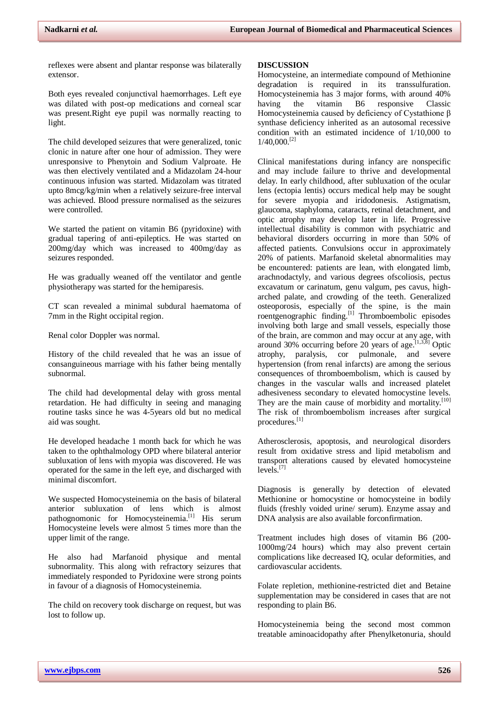reflexes were absent and plantar response was bilaterally extensor.

Both eyes revealed conjunctival haemorrhages. Left eye was dilated with post-op medications and corneal scar was present.Right eye pupil was normally reacting to light.

The child developed seizures that were generalized, tonic clonic in nature after one hour of admission. They were unresponsive to Phenytoin and Sodium Valproate. He was then electively ventilated and a Midazolam 24-hour continuous infusion was started. Midazolam was titrated upto 8mcg/kg/min when a relatively seizure-free interval was achieved. Blood pressure normalised as the seizures were controlled.

We started the patient on vitamin B6 (pyridoxine) with gradual tapering of anti-epileptics. He was started on 200mg/day which was increased to 400mg/day as seizures responded.

He was gradually weaned off the ventilator and gentle physiotherapy was started for the hemiparesis.

CT scan revealed a minimal subdural haematoma of 7mm in the Right occipital region.

Renal color Doppler was normal.

History of the child revealed that he was an issue of consanguineous marriage with his father being mentally subnormal.

The child had developmental delay with gross mental retardation. He had difficulty in seeing and managing routine tasks since he was 4-5years old but no medical aid was sought.

He developed headache 1 month back for which he was taken to the ophthalmology OPD where bilateral anterior subluxation of lens with myopia was discovered. He was operated for the same in the left eye, and discharged with minimal discomfort.

We suspected Homocysteinemia on the basis of bilateral anterior subluxation of lens which is almost pathognomonic for Homocysteinemia.<sup>[1]</sup> His serum Homocysteine levels were almost 5 times more than the upper limit of the range.

He also had Marfanoid physique and mental subnormality. This along with refractory seizures that immediately responded to Pyridoxine were strong points in favour of a diagnosis of Homocysteinemia.

The child on recovery took discharge on request, but was lost to follow up.

#### **DISCUSSION**

Homocysteine, an intermediate compound of Methionine degradation is required in its transsulfuration. Homocysteinemia has 3 major forms, with around 40% having the vitamin B6 responsive Classic Homocysteinemia caused by deficiency of Cystathione β synthase deficiency inherited as an autosomal recessive condition with an estimated incidence of 1/10,000 to  $1/40,000$ <sup>[2]</sup>

Clinical manifestations during infancy are nonspecific and may include failure to thrive and developmental delay. In early childhood, after subluxation of the ocular lens (ectopia lentis) occurs medical help may be sought for severe myopia and iridodonesis. Astigmatism, glaucoma, staphyloma, cataracts, retinal detachment, and optic atrophy may develop later in life. Progressive intellectual disability is common with psychiatric and behavioral disorders occurring in more than 50% of affected patients. Convulsions occur in approximately 20% of patients. Marfanoid skeletal abnormalities may be encountered: patients are lean, with elongated limb, arachnodactyly, and various degrees ofscoliosis, pectus excavatum or carinatum, genu valgum, pes cavus, higharched palate, and crowding of the teeth. Generalized osteoporosis, especially of the spine, is the main roentgenographic finding.<sup>[1]</sup> Thromboembolic episodes involving both large and small vessels, especially those of the brain, are common and may occur at any age, with around 30% occurring before 20 years of age.  $[1,3,8]$  Optic atrophy, paralysis, cor pulmonale, and severe hypertension (from renal infarcts) are among the serious consequences of thromboembolism, which is caused by changes in the vascular walls and increased platelet adhesiveness secondary to elevated homocystine levels. They are the main cause of morbidity and mortality.<sup>[10]</sup> The risk of thromboembolism increases after surgical procedures.[1]

Atherosclerosis, apoptosis, and neurological disorders result from oxidative stress and lipid metabolism and transport alterations caused by elevated homocysteine levels.<sup>[7]</sup>

Diagnosis is generally by detection of elevated Methionine or homocystine or homocysteine in bodily fluids (freshly voided urine/ serum). Enzyme assay and DNA analysis are also available forconfirmation.

Treatment includes high doses of vitamin B6 (200- 1000mg/24 hours) which may also prevent certain complications like decreased IQ, ocular deformities, and cardiovascular accidents.

Folate repletion, methionine-restricted diet and Betaine supplementation may be considered in cases that are not responding to plain B6.

Homocysteinemia being the second most common treatable aminoacidopathy after Phenylketonuria, should